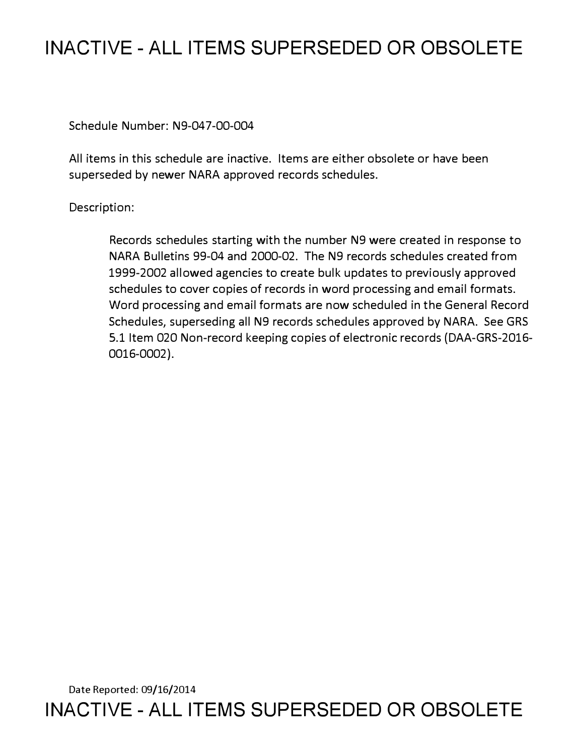# **INACTIVE - ALL ITEMS SUPERSEDED OR OBSOLETE**

Schedule Number: N9-047-00-004

All items in this schedule are inactive. Items are either obsolete or have been superseded by newer NARA approved records schedules.

## Description:

Records schedules starting with the number N9 were created in response to NARA Bulletins 99-04 and 2000-02. The N9 records schedules created from 1999-2002 allowed agencies to create bulk updates to previously approved schedules to cover copies of records in word processing and email formats. Word processing and email formats are now scheduled in the General Record Schedules, superseding all N9 records schedules approved by NARA. See GRS 5.1 Item 020 Non-record keeping copies of electronic records (DAA-GRS-2016- 0016-0002).

Date Reported: 09/16/2014 **INACTIVE - ALL ITEMS SUPERSEDED OR OBSOLETE**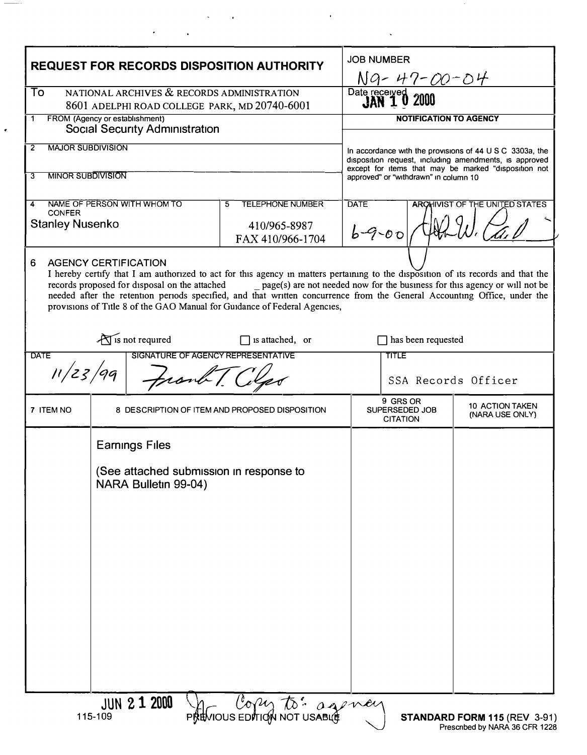| <b>REQUEST FOR RECORDS DISPOSITION AUTHORITY</b>                                                                                                                                                                                                                                                                                                                                                                                                                                                              |                                                                 |                                                                                                                         | <b>JOB NUMBER</b><br><u>Ng-47-00-04</u>                                                       |                                    |
|---------------------------------------------------------------------------------------------------------------------------------------------------------------------------------------------------------------------------------------------------------------------------------------------------------------------------------------------------------------------------------------------------------------------------------------------------------------------------------------------------------------|-----------------------------------------------------------------|-------------------------------------------------------------------------------------------------------------------------|-----------------------------------------------------------------------------------------------|------------------------------------|
| NATIONAL ARCHIVES & RECORDS ADMINISTRATION<br>To<br>8601 ADELPHI ROAD COLLEGE PARK, MD 20740-6001                                                                                                                                                                                                                                                                                                                                                                                                             |                                                                 |                                                                                                                         | Date received                                                                                 |                                    |
| FROM (Agency or establishment)<br>1<br><b>Social Security Administration</b>                                                                                                                                                                                                                                                                                                                                                                                                                                  |                                                                 |                                                                                                                         | <b>NOTIFICATION TO AGENCY</b>                                                                 |                                    |
| <b>MAJOR SUBDIVISION</b><br>$\overline{2}$                                                                                                                                                                                                                                                                                                                                                                                                                                                                    |                                                                 | In accordance with the provisions of 44 $\cup$ S C 3303a, the<br>disposition request, including amendments, is approved |                                                                                               |                                    |
| <b>MINOR SUBDIVISION</b><br>3                                                                                                                                                                                                                                                                                                                                                                                                                                                                                 |                                                                 |                                                                                                                         | except for items that may be marked "disposition not<br>approved" or "withdrawn" in column 10 |                                    |
| NAME OF PERSON WITH WHOM TO<br>4<br><b>CONFER</b><br><b>Stanley Nusenko</b>                                                                                                                                                                                                                                                                                                                                                                                                                                   |                                                                 | <b>TELEPHONE NUMBER</b><br>5.<br>410/965-8987<br>FAX 410/966-1704                                                       | <b>DATE</b><br><b>ARCHIVIST OF THE UNITED STATES</b><br>$6 - 9 - 00$                          |                                    |
| <b>AGENCY CERTIFICATION</b><br>6<br>I hereby certify that I am authorized to act for this agency in matters pertaining to the disposition of its records and that the<br>records proposed for disposal on the attached<br>page(s) are not needed now for the business for this agency or will not be<br>needed after the retention periods specified, and that written concurrence from the General Accounting Office, under the<br>provisions of Title 8 of the GAO Manual for Guidance of Federal Agencies, |                                                                 |                                                                                                                         |                                                                                               |                                    |
| $\sum$ is not required<br>$\Box$ is attached, or<br><b>DATE</b><br>SIGNATURE OF AGENCY REPRESENTATIVE<br>11/23/99<br>Frank [C                                                                                                                                                                                                                                                                                                                                                                                 |                                                                 |                                                                                                                         | $\Box$ has been requested<br><b>TITLE</b><br>SSA Records Officer                              |                                    |
| 7 ITEM NO                                                                                                                                                                                                                                                                                                                                                                                                                                                                                                     |                                                                 | 8 DESCRIPTION OF ITEM AND PROPOSED DISPOSITION                                                                          | 9 GRS OR<br>SUPERSEDED JOB<br><b>CITATION</b>                                                 | 10 ACTION TAKEN<br>(NARA USE ONLY) |
|                                                                                                                                                                                                                                                                                                                                                                                                                                                                                                               | <b>Earnings Files</b>                                           |                                                                                                                         |                                                                                               |                                    |
|                                                                                                                                                                                                                                                                                                                                                                                                                                                                                                               | (See attached submission in response to<br>NARA Bulletin 99-04) |                                                                                                                         |                                                                                               |                                    |
|                                                                                                                                                                                                                                                                                                                                                                                                                                                                                                               |                                                                 |                                                                                                                         |                                                                                               |                                    |
|                                                                                                                                                                                                                                                                                                                                                                                                                                                                                                               |                                                                 |                                                                                                                         |                                                                                               |                                    |
|                                                                                                                                                                                                                                                                                                                                                                                                                                                                                                               |                                                                 |                                                                                                                         |                                                                                               |                                    |
|                                                                                                                                                                                                                                                                                                                                                                                                                                                                                                               |                                                                 |                                                                                                                         |                                                                                               |                                    |
|                                                                                                                                                                                                                                                                                                                                                                                                                                                                                                               | <b>JUN 2 1 2000</b>                                             | I Copy to: agency                                                                                                       |                                                                                               |                                    |

 $\mathcal{A}^{\text{max}}_{\text{max}}$ 

 $\mathcal{L}^{\text{max}}_{\text{max}}$  ,  $\mathcal{L}^{\text{max}}_{\text{max}}$ 

 $\mathcal{L}(\mathcal{L}^{\mathcal{L}})$  and  $\mathcal{L}^{\mathcal{L}}$  . The contribution of  $\mathcal{L}^{\mathcal{L}}$ 

 $\sigma_{\rm{eff}}=1.00$  km s  $^{-1}$  .

 $\overline{\phantom{a}}$ 

 $\overline{\phantom{a}}$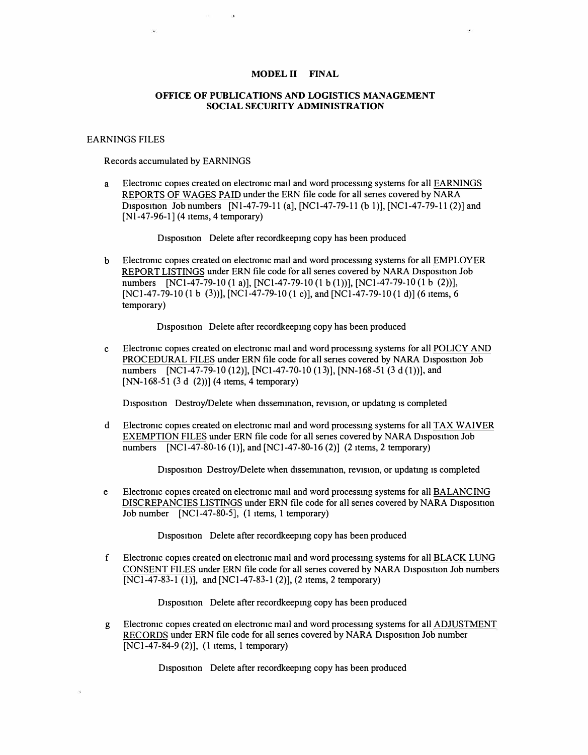### **MODEL II FINAL**

#### **OFFICE OF PUBLICATIONS AND LOGISTICS MANAGEMENT SOCIAL SECURITY ADMINISTRATION**

#### EARNINGS FILES

Records accumulated by EARNINGS

a Electromc copies created on electromc mail and word processmg systems for all EARNINGS REPORTS OF WAGES PAID under the ERN file code for all senes covered by NARA Disposition Job numbers  $[Nl-47-79-11$  (al,  $[NCl-47-79-11$  (b 1),  $[NCl-47-79-11$  (2)] and  $[Nl-47-96-1]$  (4 items, 4 temporary)

Disposition Delete after recordkeeping copy has been produced

b Electromc copies created on electromc mail and word processmg systems for all EMPLOYER REPORT LISTINGS under ERN file code for all series covered by NARA Disposition Job numbers [NCl-47-79-10 (1 a)], [NCl-47-79-10 (1 b (1))], [NCl-47-79-10 (1 b (2))], [NC1-47-79-10 (1 b (3))], [NC1-47-79-10 (1 c)], and [NC1-47-79-10 (1 d)] (6 items, 6 temporary)

D<sub>1</sub>sposition Delete after recordkeeping copy has been produced

c Electromc copies created on electromc mail and word processmg systems for all POLICY AND PROCEDURAL FILES under ERN file code for all series covered by NARA Disposition Job numbers [NC1-47-79-10 (12)], [NC1-47-70-10 (13)], [NN-168-51 (3 d (1))], and [NN-168-51 (3 d (2))] (4 items, 4 temporary)

Disposition Destroy/Delete when dissemination, revision, or updating is completed

d Electronic copies created on electronic mail and word processing systems for all TAX WAIVER EXEMPTION FILES under ERN file code for all series covered by NARA Disposition Job numbers  $[NC1-47-80-16(1)]$ , and  $[NC1-47-80-16(2)]$  (2 items, 2 temporary)

Disposition Destroy/Delete when dissemination, revision, or updating is completed

e Electromc copies created on electromc mail and word processmg systems for all BALANCING DISCREPANCIES LISTINGS under ERN file code for all senes covered by NARA Disposition Job number [NCl-47-80-5], (I items, 1 temporary)

Disposition Delete after recordkeeping copy has been produced

f Electromc copies created on electromc mail and word processmg systems for all BLACK LUNG CONSENT FILES under ERN file code for all series covered by NARA Disposition Job numbers [NCl-47-83-1 (1)], and [NCl-47-83-1 (2)], (2 items, 2 temporary)

Disposition Delete after recordkeeping copy has been produced

g Electromc copies created on electromc mail and word processmg systems for all ADJUSTMENT RECORDS under ERN file code for all series covered by NARA Disposition Job number [NCl-47-84-9 (2}], (I items, 1 temporary)

Disposition Delete after recordkeeping copy has been produced